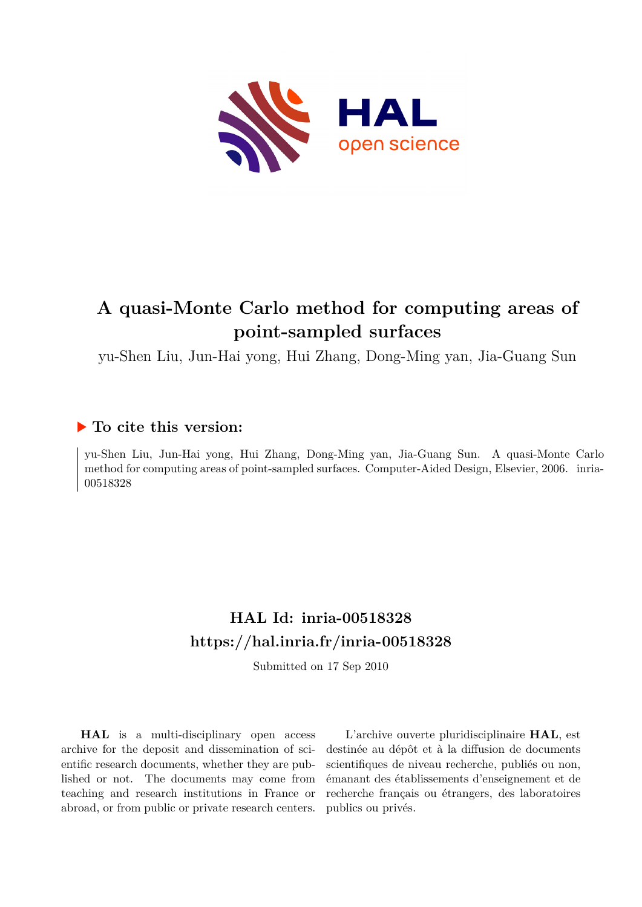

# **A quasi-Monte Carlo method for computing areas of point-sampled surfaces**

yu-Shen Liu, Jun-Hai yong, Hui Zhang, Dong-Ming yan, Jia-Guang Sun

# **To cite this version:**

yu-Shen Liu, Jun-Hai yong, Hui Zhang, Dong-Ming yan, Jia-Guang Sun. A quasi-Monte Carlo method for computing areas of point-sampled surfaces. Computer-Aided Design, Elsevier, 2006. inria-00518328ff

# **HAL Id: inria-00518328 <https://hal.inria.fr/inria-00518328>**

Submitted on 17 Sep 2010

**HAL** is a multi-disciplinary open access archive for the deposit and dissemination of scientific research documents, whether they are published or not. The documents may come from teaching and research institutions in France or abroad, or from public or private research centers.

L'archive ouverte pluridisciplinaire **HAL**, est destinée au dépôt et à la diffusion de documents scientifiques de niveau recherche, publiés ou non, émanant des établissements d'enseignement et de recherche français ou étrangers, des laboratoires publics ou privés.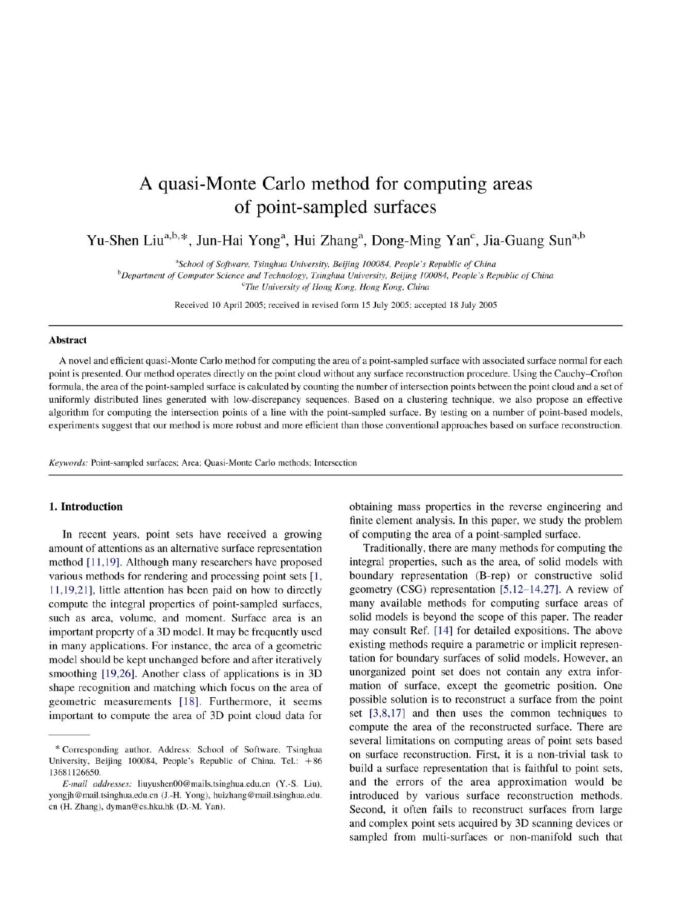# A quasi-Monte Carlo method for computing areas of point-sampled surfaces

Yu-Shen Liu<sup>a,b,\*</sup>, Jun-Hai Yong<sup>a</sup>, Hui Zhang<sup>a</sup>, Dong-Ming Yan<sup>c</sup>, Jia-Guang Sun<sup>a,b</sup>

<sup>a</sup>School of Software, Tsinghua University, Beijing 100084, People's Republic of China

<sup>b</sup>Department of Computer Science and Technology, Tsinghua University, Beijing 100084, People's Republic of China <sup>c</sup>The University of Hong Kong, Hong Kong, China

Received 10 April 2005; received in revised form 15 July 2005; accepted 18 July 2005

### Abstract

A novel and efficient quasi-Monte Carlo method for computing the area of a point-sampled surface with associated surface normal for each point is presented. Our method operates directly on the point cloud without any surface reconstruction procedure. Using the Cauchy-Crofton formula, the area of the point-sampled surface is calculated by counting the number of intersection points between the point cloud and a set of uniformly distributed lines generated with low-discrepancy sequences. Based on a clustering technique, we also propose an effective algorithm for computing the intersection points of a line with the point-sampled surface. By testing on a number of point-based models, experiments suggest that our method is more robust and more efficient than those conventional approaches based on surface reconstruction.

Keywords: Point-sampled surfaces; Area; Quasi-Monte Carlo methods; Intersection

### 1. Introduction

In recent years, point sets have received a growing amount of attentions as an alternative surface representation method [11,19]. Although many researchers have proposed various methods for rendering and processing point sets [1, 11,19,21], little attention has been paid on how to directly compute the integral properties of point-sampled surfaces, such as area, volume, and moment. Surface area is an important property of a 3D model. It may be frequently used in many applications. For instance, the area of a geometric model should be kept unchanged before and after iteratively smoothing [19,26]. Another class of applications is in 3D shape recognition and matching which focus on the area of geometric measurements [18]. Furthermore, it seems important to compute the area of 3D point cloud data for

obtaining mass properties in the reverse engineering and finite element analysis. In this paper, we study the problem of computing the area of a point-sampled surface.

Traditionally, there are many methods for computing the integral properties, such as the area, of solid models with boundary representation (B-rep) or constructive solid geometry (CSG) representation [5,12-14,27]. A review of many available methods for computing surface areas of solid models is beyond the scope of this paper. The reader may consult Ref. [14] for detailed expositions. The above existing methods require a parametric or implicit representation for boundary surfaces of solid models. However, an unorganized point set does not contain any extra information of surface, except the geometric position. One possible solution is to reconstruct a surface from the point set  $[3,8,17]$  and then uses the common techniques to compute the area of the reconstructed surface. There are several limitations on computing areas of point sets based on surface reconstruction. First, it is a non-trivial task to build a surface representation that is faithful to point sets. and the errors of the area approximation would be introduced by various surface reconstruction methods. Second, it often fails to reconstruct surfaces from large and complex point sets acquired by 3D scanning devices or sampled from multi-surfaces or non-manifold such that

<sup>\*</sup> Corresponding author. Address: School of Software, Tsinghua University, Beijing 100084, People's Republic of China. Tel.: +86 13681126650.

E-mail addresses: liuyushen00@mails.tsinghua.edu.cn (Y.-S. Liu), yongjh@mail.tsinghua.edu.cn (J.-H. Yong), huizhang@mail.tsinghua.edu. cn (H. Zhang), dyman@cs.hku.hk (D.-M. Yan).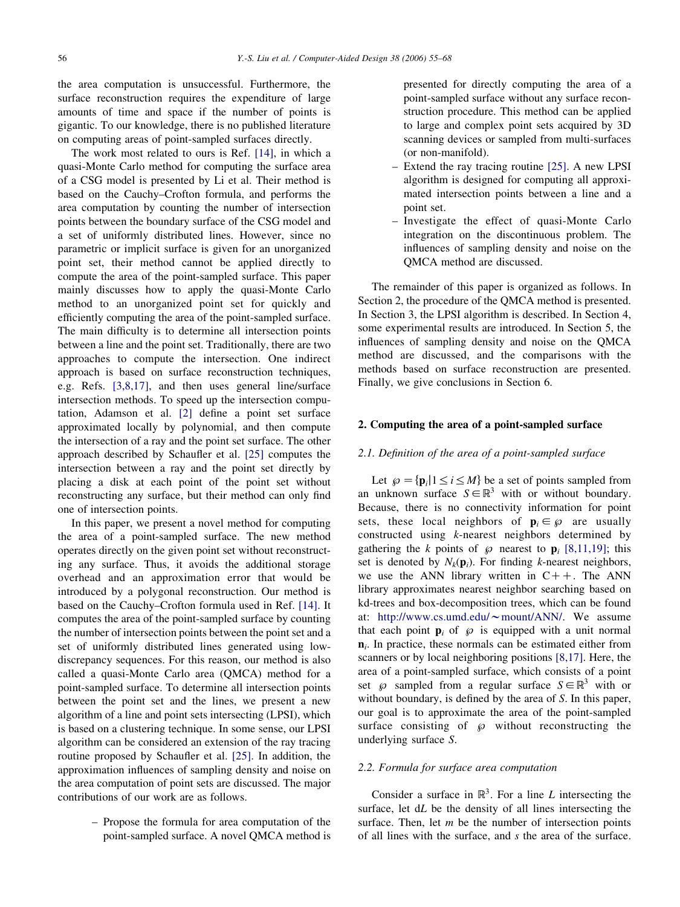the area computation is unsuccessful. Furthermore, the surface reconstruction requires the expenditure of large amounts of time and space if the number of points is gigantic. To our knowledge, there is no published literature on computing areas of point-sampled surfaces directly.

The work most related to ours is Ref. [14], in which a quasi-Monte Carlo method for computing the surface area of a CSG model is presented by Li et al. Their method is based on the Cauchy–Crofton formula, and performs the area computation by counting the number of intersection points between the boundary surface of the CSG model and a set of uniformly distributed lines. However, since no parametric or implicit surface is given for an unorganized point set, their method cannot be applied directly to compute the area of the point-sampled surface. This paper mainly discusses how to apply the quasi-Monte Carlo method to an unorganized point set for quickly and efficiently computing the area of the point-sampled surface. The main difficulty is to determine all intersection points between a line and the point set. Traditionally, there are two approaches to compute the intersection. One indirect approach is based on surface reconstruction techniques, e.g. Refs. [3,8,17], and then uses general line/surface intersection methods. To speed up the intersection computation, Adamson et al. [2] define a point set surface approximated locally by polynomial, and then compute the intersection of a ray and the point set surface. The other approach described by Schaufler et al. [25] computes the intersection between a ray and the point set directly by placing a disk at each point of the point set without reconstructing any surface, but their method can only find one of intersection points.

In this paper, we present a novel method for computing the area of a point-sampled surface. The new method operates directly on the given point set without reconstructing any surface. Thus, it avoids the additional storage overhead and an approximation error that would be introduced by a polygonal reconstruction. Our method is based on the Cauchy–Crofton formula used in Ref. [14]. It computes the area of the point-sampled surface by counting the number of intersection points between the point set and a set of uniformly distributed lines generated using lowdiscrepancy sequences. For this reason, our method is also called a quasi-Monte Carlo area (QMCA) method for a point-sampled surface. To determine all intersection points between the point set and the lines, we present a new algorithm of a line and point sets intersecting (LPSI), which is based on a clustering technique. In some sense, our LPSI algorithm can be considered an extension of the ray tracing routine proposed by Schaufler et al. [25]. In addition, the approximation influences of sampling density and noise on the area computation of point sets are discussed. The major contributions of our work are as follows.

> – Propose the formula for area computation of the point-sampled surface. A novel QMCA method is

presented for directly computing the area of a point-sampled surface without any surface reconstruction procedure. This method can be applied to large and complex point sets acquired by 3D scanning devices or sampled from multi-surfaces (or non-manifold).

- Extend the ray tracing routine [25]. A new LPSI algorithm is designed for computing all approximated intersection points between a line and a point set.
- Investigate the effect of quasi-Monte Carlo integration on the discontinuous problem. The influences of sampling density and noise on the QMCA method are discussed.

The remainder of this paper is organized as follows. In Section 2, the procedure of the QMCA method is presented. In Section 3, the LPSI algorithm is described. In Section 4, some experimental results are introduced. In Section 5, the influences of sampling density and noise on the QMCA method are discussed, and the comparisons with the methods based on surface reconstruction are presented. Finally, we give conclusions in Section 6.

### 2. Computing the area of a point-sampled surface

### 2.1. Definition of the area of a point-sampled surface

Let  $\wp = {\mathbf{p}_i | 1 \le i \le M}$  be a set of points sampled from an unknown surface  $S \in \mathbb{R}^3$  with or without boundary. Because, there is no connectivity information for point sets, these local neighbors of  $\mathbf{p}_i \in \varnothing$  are usually constructed using k-nearest neighbors determined by gathering the k points of  $\wp$  nearest to  $\mathbf{p}_i$  [8,11,19]; this set is denoted by  $N_k(\mathbf{p}_i)$ . For finding k-nearest neighbors, we use the ANN library written in  $C++$ . The ANN library approximates nearest neighbor searching based on kd-trees and box-decomposition trees, which can be found at: [http://www.cs.umd.edu/](http://www.cs.umd.edu/~mount/ANN/) $\sim$ mount/ANN/. We assume that each point  $\mathbf{p}_i$  of  $\varnothing$  is equipped with a unit normal  $n_i$ . In practice, these normals can be estimated either from scanners or by local neighboring positions [8,17]. Here, the area of a point-sampled surface, which consists of a point set  $\wp$  sampled from a regular surface  $S \in \mathbb{R}^3$  with or without boundary, is defined by the area of S. In this paper, our goal is to approximate the area of the point-sampled surface consisting of  $\wp$  without reconstructing the underlying surface S.

#### 2.2. Formula for surface area computation

Consider a surface in  $\mathbb{R}^3$ . For a line L intersecting the surface, let dL be the density of all lines intersecting the surface. Then, let  $m$  be the number of intersection points of all lines with the surface, and s the area of the surface.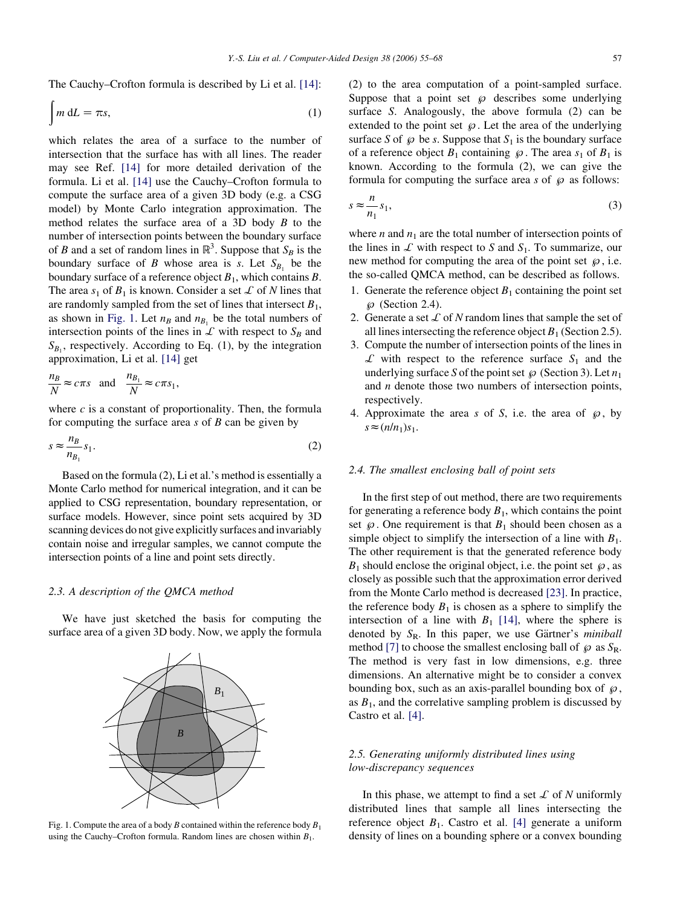The Cauchy–Crofton formula is described by Li et al. [14]:

$$
\int m \, \mathrm{d}L = \pi s,\tag{1}
$$

which relates the area of a surface to the number of intersection that the surface has with all lines. The reader may see Ref. [14] for more detailed derivation of the formula. Li et al. [14] use the Cauchy–Crofton formula to compute the surface area of a given 3D body (e.g. a CSG model) by Monte Carlo integration approximation. The method relates the surface area of a 3D body B to the number of intersection points between the boundary surface of B and a set of random lines in  $\mathbb{R}^3$ . Suppose that  $S_B$  is the boundary surface of B whose area is s. Let  $S_{B_1}$  be the boundary surface of a reference object  $B_1$ , which contains B. The area  $s_1$  of  $B_1$  is known. Consider a set  $\mathcal L$  of N lines that are randomly sampled from the set of lines that intersect  $B_1$ , as shown in Fig. 1. Let  $n_B$  and  $n_{B_1}$  be the total numbers of intersection points of the lines in  $\mathcal L$  with respect to  $S_B$  and  $S_{B_1}$ , respectively. According to Eq. (1), by the integration approximation, Li et al. [14] get

$$
\frac{n_B}{N} \approx c \pi s \quad \text{and} \quad \frac{n_{B_1}}{N} \approx c \pi s_1,
$$

where  $c$  is a constant of proportionality. Then, the formula for computing the surface area  $s$  of  $B$  can be given by

$$
s \approx \frac{n_B}{n_{B_1}} s_1. \tag{2}
$$

Based on the formula (2), Li et al.'s method is essentially a Monte Carlo method for numerical integration, and it can be applied to CSG representation, boundary representation, or surface models. However, since point sets acquired by 3D scanning devices do not give explicitly surfaces and invariably contain noise and irregular samples, we cannot compute the intersection points of a line and point sets directly.

#### 2.3. A description of the QMCA method

We have just sketched the basis for computing the surface area of a given 3D body. Now, we apply the formula



Fig. 1. Compute the area of a body B contained within the reference body  $B_1$ using the Cauchy–Crofton formula. Random lines are chosen within  $B_1$ .

(2) to the area computation of a point-sampled surface. Suppose that a point set  $\wp$  describes some underlying surface S. Analogously, the above formula (2) can be extended to the point set  $\wp$ . Let the area of the underlying surface S of  $\varphi$  be s. Suppose that  $S_1$  is the boundary surface of a reference object  $B_1$  containing  $\wp$ . The area  $s_1$  of  $B_1$  is known. According to the formula (2), we can give the formula for computing the surface area s of  $\wp$  as follows:

$$
s \approx \frac{n}{n_1} s_1,\tag{3}
$$

where *n* and  $n_1$  are the total number of intersection points of the lines in  $\mathcal L$  with respect to S and  $S_1$ . To summarize, our new method for computing the area of the point set  $\wp$ , i.e. the so-called QMCA method, can be described as follows.

- 1. Generate the reference object  $B_1$  containing the point set  $\omega$  (Section 2.4).
- 2. Generate a set  $\mathcal L$  of N random lines that sample the set of all lines intersecting the reference object  $B_1$  (Section 2.5).
- 3. Compute the number of intersection points of the lines in  $\mathcal L$  with respect to the reference surface  $S_1$  and the underlying surface S of the point set  $\wp$  (Section 3). Let  $n_1$ and *n* denote those two numbers of intersection points, respectively.
- 4. Approximate the area s of S, i.e. the area of  $\varnothing$ , by  $s \approx (n/n_1)s_1$ .

#### 2.4. The smallest enclosing ball of point sets

In the first step of out method, there are two requirements for generating a reference body  $B_1$ , which contains the point set  $\wp$ . One requirement is that  $B_1$  should been chosen as a simple object to simplify the intersection of a line with  $B_1$ . The other requirement is that the generated reference body  $B_1$  should enclose the original object, i.e. the point set  $\wp$ , as closely as possible such that the approximation error derived from the Monte Carlo method is decreased [23]. In practice, the reference body  $B_1$  is chosen as a sphere to simplify the intersection of a line with  $B_1$  [14], where the sphere is denoted by  $S_R$ . In this paper, we use Gärtner's *miniball* method [7] to choose the smallest enclosing ball of  $\wp$  as  $S_R$ . The method is very fast in low dimensions, e.g. three dimensions. An alternative might be to consider a convex bounding box, such as an axis-parallel bounding box of  $\wp$ , as  $B_1$ , and the correlative sampling problem is discussed by Castro et al. [4].

# 2.5. Generating uniformly distributed lines using low-discrepancy sequences

In this phase, we attempt to find a set  $\mathcal L$  of N uniformly distributed lines that sample all lines intersecting the reference object  $B_1$ . Castro et al. [4] generate a uniform density of lines on a bounding sphere or a convex bounding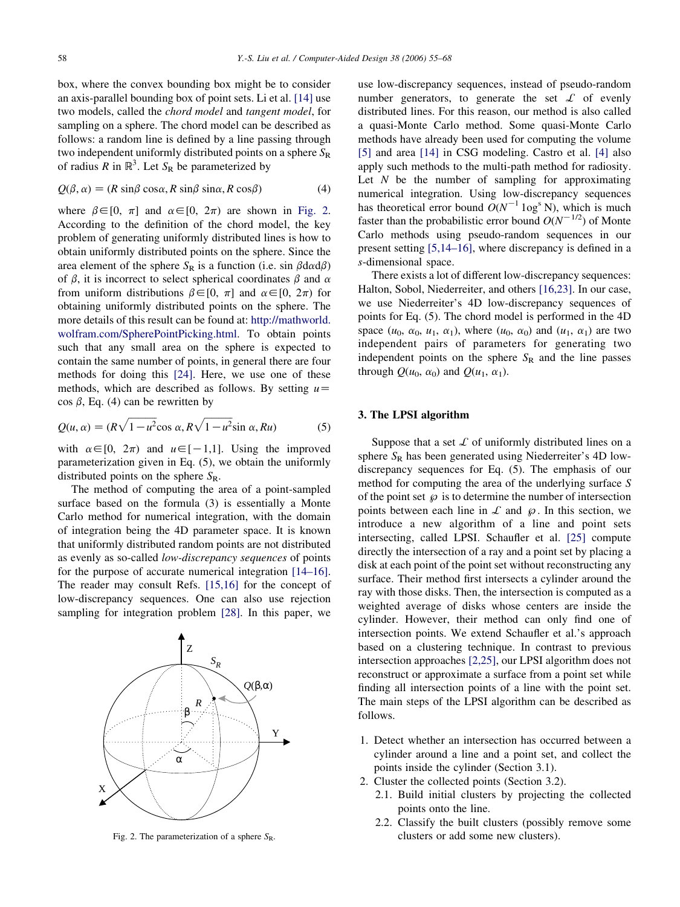box, where the convex bounding box might be to consider an axis-parallel bounding box of point sets. Li et al. [14] use two models, called the chord model and tangent model, for sampling on a sphere. The chord model can be described as follows: a random line is defined by a line passing through two independent uniformly distributed points on a sphere  $S_R$ of radius R in  $\mathbb{R}^3$ . Let S<sub>R</sub> be parameterized by

$$
Q(\beta, \alpha) = (R \sin\beta \cos\alpha, R \sin\beta \sin\alpha, R \cos\beta)
$$
 (4)

where  $\beta \in [0, \pi]$  and  $\alpha \in [0, 2\pi)$  are shown in Fig. 2. According to the definition of the chord model, the key problem of generating uniformly distributed lines is how to obtain uniformly distributed points on the sphere. Since the area element of the sphere  $S_R$  is a function (i.e. sin  $\beta d\alpha d\beta$ ) of  $\beta$ , it is incorrect to select spherical coordinates  $\beta$  and  $\alpha$ from uniform distributions  $\beta \in [0, \pi]$  and  $\alpha \in [0, 2\pi)$  for obtaining uniformly distributed points on the sphere. The more details of this result can be found at: [http://mathworld.](http://mathworld.wolfram.com/SpherePointPicking.html) [wolfram.com/SpherePointPicking.html.](http://mathworld.wolfram.com/SpherePointPicking.html) To obtain points such that any small area on the sphere is expected to contain the same number of points, in general there are four methods for doing this [24]. Here, we use one of these methods, which are described as follows. By setting  $u=$ cos  $\beta$ , Eq. (4) can be rewritten by

$$
Q(u, \alpha) = (R\sqrt{1 - u^2} \cos \alpha, R\sqrt{1 - u^2} \sin \alpha, Ru)
$$
 (5)

with  $\alpha \in [0, 2\pi)$  and  $u \in [-1,1]$ . Using the improved parameterization given in Eq. (5), we obtain the uniformly distributed points on the sphere  $S_R$ .

The method of computing the area of a point-sampled surface based on the formula (3) is essentially a Monte Carlo method for numerical integration, with the domain of integration being the 4D parameter space. It is known that uniformly distributed random points are not distributed as evenly as so-called low-discrepancy sequences of points for the purpose of accurate numerical integration [14–16]. The reader may consult Refs. [15,16] for the concept of low-discrepancy sequences. One can also use rejection sampling for integration problem [28]. In this paper, we



Fig. 2. The parameterization of a sphere  $S_R$ .

use low-discrepancy sequences, instead of pseudo-random number generators, to generate the set  $\mathcal L$  of evenly distributed lines. For this reason, our method is also called a quasi-Monte Carlo method. Some quasi-Monte Carlo methods have already been used for computing the volume [5] and area [14] in CSG modeling. Castro et al. [4] also apply such methods to the multi-path method for radiosity. Let  $N$  be the number of sampling for approximating numerical integration. Using low-discrepancy sequences has theoretical error bound  $O(N^{-1} \log^s N)$ , which is much faster than the probabilistic error bound  $O(N^{-1/2})$  of Monte Carlo methods using pseudo-random sequences in our present setting [5,14–16], where discrepancy is defined in a s-dimensional space.

There exists a lot of different low-discrepancy sequences: Halton, Sobol, Niederreiter, and others [16,23]. In our case, we use Niederreiter's 4D low-discrepancy sequences of points for Eq. (5). The chord model is performed in the 4D space  $(u_0, \alpha_0, u_1, \alpha_1)$ , where  $(u_0, \alpha_0)$  and  $(u_1, \alpha_1)$  are two independent pairs of parameters for generating two independent points on the sphere  $S_R$  and the line passes through  $Q(u_0, \alpha_0)$  and  $Q(u_1, \alpha_1)$ .

## 3. The LPSI algorithm

Suppose that a set  $\mathcal L$  of uniformly distributed lines on a sphere  $S_R$  has been generated using Niederreiter's 4D lowdiscrepancy sequences for Eq. (5). The emphasis of our method for computing the area of the underlying surface S of the point set  $\varphi$  is to determine the number of intersection points between each line in  $\mathcal L$  and  $\varphi$ . In this section, we introduce a new algorithm of a line and point sets intersecting, called LPSI. Schaufler et al. [25] compute directly the intersection of a ray and a point set by placing a disk at each point of the point set without reconstructing any surface. Their method first intersects a cylinder around the ray with those disks. Then, the intersection is computed as a weighted average of disks whose centers are inside the cylinder. However, their method can only find one of intersection points. We extend Schaufler et al.'s approach based on a clustering technique. In contrast to previous intersection approaches [2,25], our LPSI algorithm does not reconstruct or approximate a surface from a point set while finding all intersection points of a line with the point set. The main steps of the LPSI algorithm can be described as follows.

- 1. Detect whether an intersection has occurred between a cylinder around a line and a point set, and collect the points inside the cylinder (Section 3.1).
- 2. Cluster the collected points (Section 3.2).
	- 2.1. Build initial clusters by projecting the collected points onto the line.
	- 2.2. Classify the built clusters (possibly remove some clusters or add some new clusters).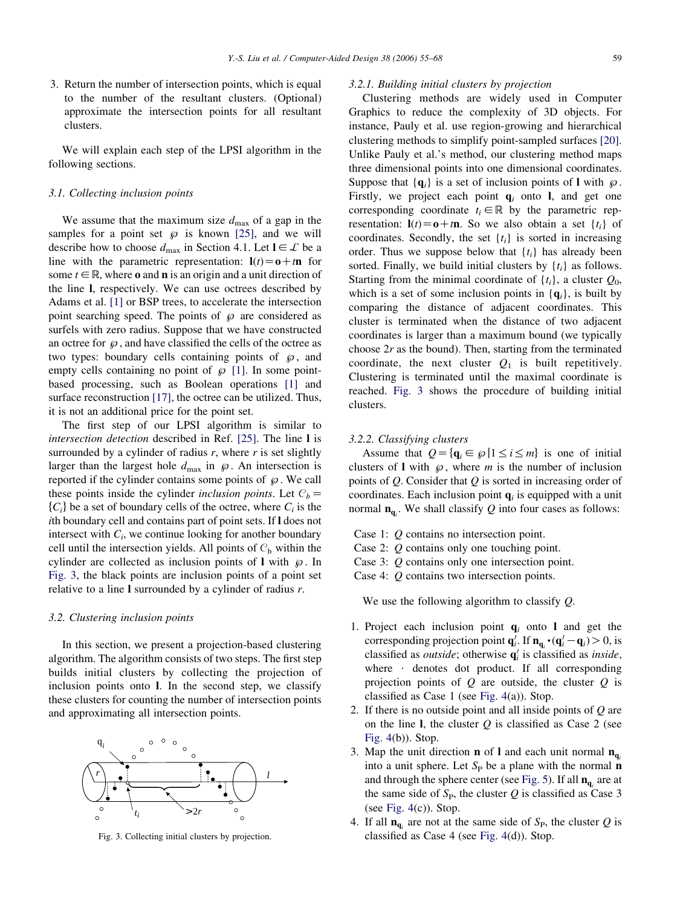3. Return the number of intersection points, which is equal to the number of the resultant clusters. (Optional) approximate the intersection points for all resultant clusters.

We will explain each step of the LPSI algorithm in the following sections.

#### 3.1. Collecting inclusion points

We assume that the maximum size  $d_{\text{max}}$  of a gap in the samples for a point set  $\wp$  is known [25], and we will describe how to choose  $d_{\text{max}}$  in Section 4.1. Let  $\mathbf{l} \in \mathcal{L}$  be a line with the parametric representation:  $\mathbf{l}(t) = \mathbf{o} + t\mathbf{n}$  for some  $t \in \mathbb{R}$ , where **o** and **n** is an origin and a unit direction of the line l, respectively. We can use octrees described by Adams et al. [1] or BSP trees, to accelerate the intersection point searching speed. The points of  $\wp$  are considered as surfels with zero radius. Suppose that we have constructed an octree for  $\varnothing$ , and have classified the cells of the octree as two types: boundary cells containing points of  $\wp$ , and empty cells containing no point of  $\wp$  [1]. In some pointbased processing, such as Boolean operations [1] and surface reconstruction [17], the octree can be utilized. Thus, it is not an additional price for the point set.

The first step of our LPSI algorithm is similar to intersection detection described in Ref. [25]. The line I is surrounded by a cylinder of radius  $r$ , where  $r$  is set slightly larger than the largest hole  $d_{\text{max}}$  in  $\wp$ . An intersection is reported if the cylinder contains some points of  $\varphi$ . We call these points inside the cylinder *inclusion points*. Let  $C_b$  =  ${C<sub>i</sub>}$  be a set of boundary cells of the octree, where  $C<sub>i</sub>$  is the ith boundary cell and contains part of point sets. If l does not intersect with  $C_i$ , we continue looking for another boundary cell until the intersection yields. All points of  $C<sub>b</sub>$  within the cylinder are collected as inclusion points of I with  $\varphi$ . In Fig. 3, the black points are inclusion points of a point set relative to a line l surrounded by a cylinder of radius r.

#### 3.2. Clustering inclusion points

In this section, we present a projection-based clustering algorithm. The algorithm consists of two steps. The first step builds initial clusters by collecting the projection of inclusion points onto l. In the second step, we classify these clusters for counting the number of intersection points and approximating all intersection points.



Fig. 3. Collecting initial clusters by projection.

#### 3.2.1. Building initial clusters by projection

Clustering methods are widely used in Computer Graphics to reduce the complexity of 3D objects. For instance, Pauly et al. use region-growing and hierarchical clustering methods to simplify point-sampled surfaces [20]. Unlike Pauly et al.'s method, our clustering method maps three dimensional points into one dimensional coordinates. Suppose that  $\{q_i\}$  is a set of inclusion points of I with  $\varphi$ . Firstly, we project each point  $q_i$  onto l, and get one corresponding coordinate  $t_i \in \mathbb{R}$  by the parametric representation:  $I(t) = \mathbf{o} + t\mathbf{n}$ . So we also obtain a set  $\{t_i\}$  of coordinates. Secondly, the set  $\{t_i\}$  is sorted in increasing order. Thus we suppose below that  $\{t_i\}$  has already been sorted. Finally, we build initial clusters by  $\{t_i\}$  as follows. Starting from the minimal coordinate of  $\{t_i\}$ , a cluster  $Q_0$ , which is a set of some inclusion points in  $\{q_i\}$ , is built by comparing the distance of adjacent coordinates. This cluster is terminated when the distance of two adjacent coordinates is larger than a maximum bound (we typically choose  $2r$  as the bound). Then, starting from the terminated coordinate, the next cluster  $Q_1$  is built repetitively. Clustering is terminated until the maximal coordinate is reached. Fig. 3 shows the procedure of building initial clusters.

#### 3.2.2. Classifying clusters

Assume that  $Q = \{q_i \in \wp \mid 1 \leq i \leq m\}$  is one of initial clusters of I with  $\varphi$ , where *m* is the number of inclusion points of  $Q$ . Consider that  $Q$  is sorted in increasing order of coordinates. Each inclusion point  $q_i$  is equipped with a unit normal  $n_{q_i}$ . We shall classify Q into four cases as follows:

- Case 1: Q contains no intersection point.
- Case 2: *Q* contains only one touching point.
- Case 3: Q contains only one intersection point.
- Case 4: Q contains two intersection points.

We use the following algorithm to classify O.

- 1. Project each inclusion point  $q_i$  onto I and get the corresponding projection point  $\mathbf{q}'_i$ . If  $\mathbf{n}_{\mathbf{q}_i} \cdot (\mathbf{q}'_i - \mathbf{q}_i) > 0$ , is classified as *outside*; otherwise  $q_i$  is classified as *inside*, where  $\cdot$  denotes dot product. If all corresponding projection points of  $Q$  are outside, the cluster  $Q$  is classified as Case 1 (see Fig. 4(a)). Stop.
- 2. If there is no outside point and all inside points of  $Q$  are on the line I, the cluster  $Q$  is classified as Case 2 (see Fig. 4(b)). Stop.
- 3. Map the unit direction **n** of **l** and each unit normal  $n_q$ . into a unit sphere. Let  $S_p$  be a plane with the normal **n** and through the sphere center (see Fig. 5). If all  $n_{q_i}$  are at the same side of  $S_{P}$ , the cluster Q is classified as Case 3 (see Fig.  $4(c)$ ). Stop.
- 4. If all  $n_{q_i}$  are not at the same side of  $S_P$ , the cluster Q is classified as Case 4 (see Fig. 4(d)). Stop.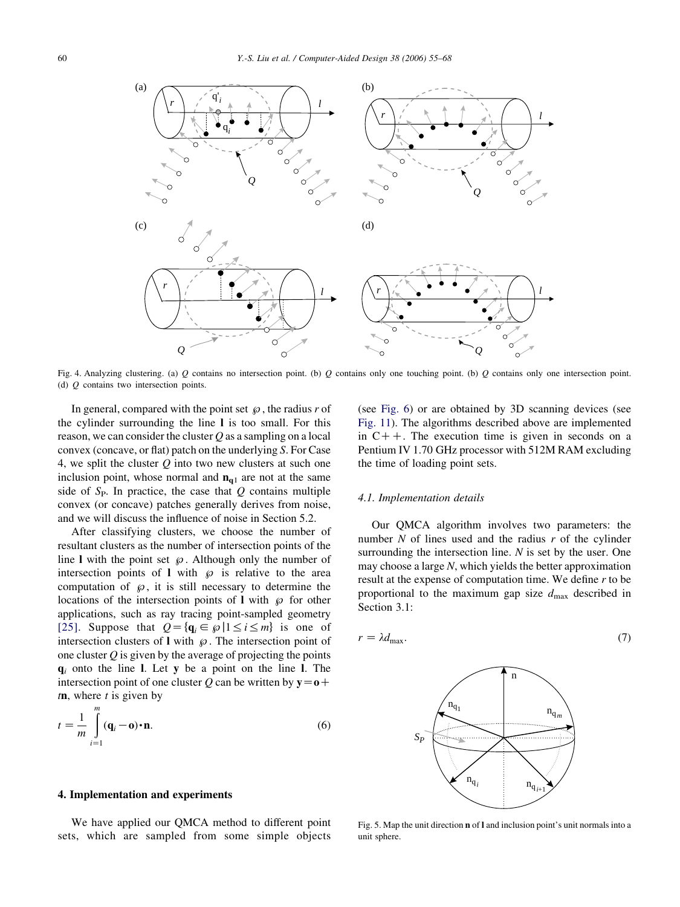

Fig. 4. Analyzing clustering. (a) Q contains no intersection point. (b) Q contains only one touching point. (b) Q contains only one intersection point. (d) Q contains two intersection points.

In general, compared with the point set  $\wp$ , the radius r of the cylinder surrounding the line l is too small. For this reason, we can consider the cluster  $Q$  as a sampling on a local convex (concave, or flat) patch on the underlying S. For Case 4, we split the cluster  $Q$  into two new clusters at such one inclusion point, whose normal and  $n_{q1}$  are not at the same side of  $S<sub>P</sub>$ . In practice, the case that Q contains multiple convex (or concave) patches generally derives from noise, and we will discuss the influence of noise in Section 5.2.

After classifying clusters, we choose the number of resultant clusters as the number of intersection points of the line I with the point set  $\wp$ . Although only the number of intersection points of I with  $\wp$  is relative to the area computation of  $\varphi$ , it is still necessary to determine the locations of the intersection points of I with  $\varphi$  for other applications, such as ray tracing point-sampled geometry [25]. Suppose that  $Q = \{q_i \in \wp \mid 1 \leq i \leq m\}$  is one of intersection clusters of I with  $\wp$ . The intersection point of one cluster  $Q$  is given by the average of projecting the points  $q_i$  onto the line l. Let y be a point on the line l. The intersection point of one cluster Q can be written by  $y=0$  +  $t_n$ , where t is given by

$$
t = \frac{1}{m} \int_{i=1}^{m} (\mathbf{q}_i - \mathbf{o}) \cdot \mathbf{n}.
$$
 (6)

(see Fig. 6) or are obtained by 3D scanning devices (see Fig. 11). The algorithms described above are implemented in  $C++$ . The execution time is given in seconds on a Pentium IV 1.70 GHz processor with 512M RAM excluding the time of loading point sets.

#### 4.1. Implementation details

Our QMCA algorithm involves two parameters: the number  $N$  of lines used and the radius  $r$  of the cylinder surrounding the intersection line. N is set by the user. One may choose a large N, which yields the better approximation result at the expense of computation time. We define  $r$  to be proportional to the maximum gap size  $d_{\text{max}}$  described in Section 3.1:

$$
r = \lambda d_{\text{max}}.\tag{7}
$$



#### 4. Implementation and experiments

We have applied our OMCA method to different point sets, which are sampled from some simple objects

Fig. 5. Map the unit direction n of l and inclusion point's unit normals into a unit sphere.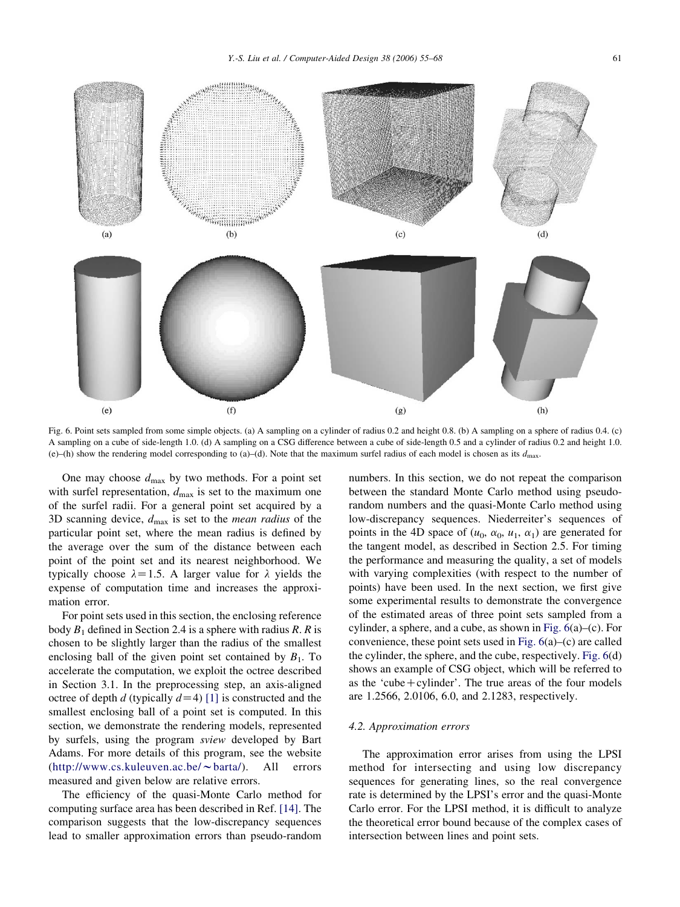

Fig. 6. Point sets sampled from some simple objects. (a) A sampling on a cylinder of radius 0.2 and height 0.8. (b) A sampling on a sphere of radius 0.4. (c) A sampling on a cube of side-length 1.0. (d) A sampling on a CSG difference between a cube of side-length 0.5 and a cylinder of radius 0.2 and height 1.0. (e)–(h) show the rendering model corresponding to (a)–(d). Note that the maximum surfel radius of each model is chosen as its  $d_{\text{max}}$ .

One may choose  $d_{\text{max}}$  by two methods. For a point set with surfel representation,  $d_{\text{max}}$  is set to the maximum one of the surfel radii. For a general point set acquired by a 3D scanning device,  $d_{\text{max}}$  is set to the *mean radius* of the particular point set, where the mean radius is defined by the average over the sum of the distance between each point of the point set and its nearest neighborhood. We typically choose  $\lambda = 1.5$ . A larger value for  $\lambda$  yields the expense of computation time and increases the approximation error.

For point sets used in this section, the enclosing reference body  $B_1$  defined in Section 2.4 is a sphere with radius R. R is chosen to be slightly larger than the radius of the smallest enclosing ball of the given point set contained by  $B_1$ . To accelerate the computation, we exploit the octree described in Section 3.1. In the preprocessing step, an axis-aligned octree of depth d (typically  $d=4$ ) [1] is constructed and the smallest enclosing ball of a point set is computed. In this section, we demonstrate the rendering models, represented by surfels, using the program sview developed by Bart Adams. For more details of this program, see the website  $(http://www.cs.kuleuven.ac.be/~barta/). All errors$  $(http://www.cs.kuleuven.ac.be/~barta/). All errors$  $(http://www.cs.kuleuven.ac.be/~barta/). All errors$ measured and given below are relative errors.

The efficiency of the quasi-Monte Carlo method for computing surface area has been described in Ref. [14]. The comparison suggests that the low-discrepancy sequences lead to smaller approximation errors than pseudo-random

numbers. In this section, we do not repeat the comparison between the standard Monte Carlo method using pseudorandom numbers and the quasi-Monte Carlo method using low-discrepancy sequences. Niederreiter's sequences of points in the 4D space of  $(u_0, \alpha_0, u_1, \alpha_1)$  are generated for the tangent model, as described in Section 2.5. For timing the performance and measuring the quality, a set of models with varying complexities (with respect to the number of points) have been used. In the next section, we first give some experimental results to demonstrate the convergence of the estimated areas of three point sets sampled from a cylinder, a sphere, and a cube, as shown in Fig. 6(a)–(c). For convenience, these point sets used in Fig. 6(a)–(c) are called the cylinder, the sphere, and the cube, respectively. Fig. 6(d) shows an example of CSG object, which will be referred to as the 'cube  $+$  cylinder'. The true areas of the four models are 1.2566, 2.0106, 6.0, and 2.1283, respectively.

#### 4.2. Approximation errors

The approximation error arises from using the LPSI method for intersecting and using low discrepancy sequences for generating lines, so the real convergence rate is determined by the LPSI's error and the quasi-Monte Carlo error. For the LPSI method, it is difficult to analyze the theoretical error bound because of the complex cases of intersection between lines and point sets.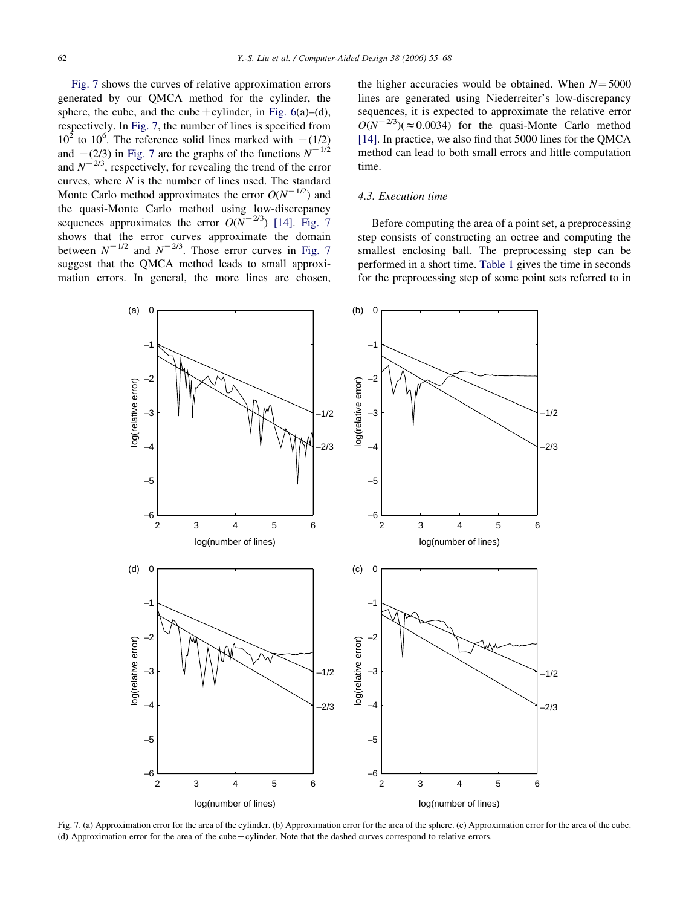Fig. 7 shows the curves of relative approximation errors generated by our QMCA method for the cylinder, the sphere, the cube, and the cube + cylinder, in Fig.  $6(a)–(d)$ , respectively. In Fig. 7, the number of lines is specified from  $10^2$  to  $10^6$ . The reference solid lines marked with  $-(1/2)$ and  $-(2/3)$  in Fig. 7 are the graphs of the functions  $N^{-1/2}$ and  $N^{-2/3}$ , respectively, for revealing the trend of the error curves, where  $N$  is the number of lines used. The standard Monte Carlo method approximates the error  $O(N^{-1/2})$  and the quasi-Monte Carlo method using low-discrepancy sequences approximates the error  $O(N^{-2/3})$  [14]. Fig. 7 shows that the error curves approximate the domain between  $N^{-1/2}$  and  $N^{-2/3}$ . Those error curves in Fig. 7 suggest that the QMCA method leads to small approximation errors. In general, the more lines are chosen,

the higher accuracies would be obtained. When  $N = 5000$ lines are generated using Niederreiter's low-discrepancy sequences, it is expected to approximate the relative error  $O(N^{-2/3})$ ( $\approx$  0.0034) for the quasi-Monte Carlo method [14]. In practice, we also find that 5000 lines for the QMCA method can lead to both small errors and little computation time.

#### 4.3. Execution time

Before computing the area of a point set, a preprocessing step consists of constructing an octree and computing the smallest enclosing ball. The preprocessing step can be performed in a short time. Table 1 gives the time in seconds for the preprocessing step of some point sets referred to in



Fig. 7. (a) Approximation error for the area of the cylinder. (b) Approximation error for the area of the sphere. (c) Approximation error for the area of the cube. (d) Approximation error for the area of the cube  $+$  cylinder. Note that the dashed curves correspond to relative errors.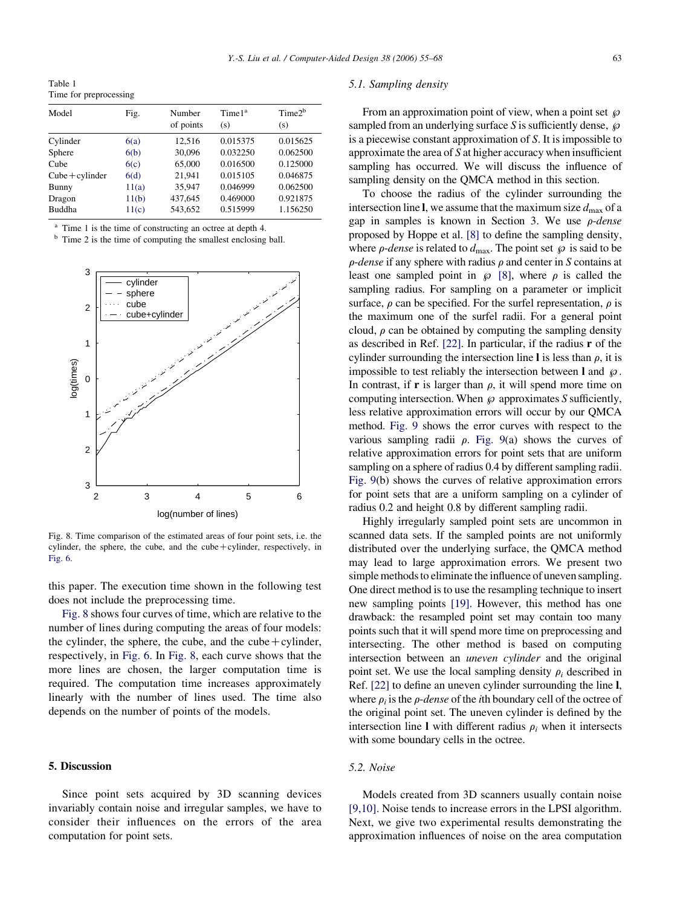Table 1 Time for preprocessing

| Model             | Fig.  | Number<br>of points | Time1 <sup>a</sup><br>(s) | $Time2^b$<br>(s) |
|-------------------|-------|---------------------|---------------------------|------------------|
| Cylinder          | 6(a)  | 12.516              | 0.015375                  | 0.015625         |
| Sphere            | 6(b)  | 30,096              | 0.032250                  | 0.062500         |
| Cube              | 6(c)  | 65,000              | 0.016500                  | 0.125000         |
| $Cube + cylinder$ | 6(d)  | 21.941              | 0.015105                  | 0.046875         |
| Bunny             | 11(a) | 35.947              | 0.046999                  | 0.062500         |
| Dragon            | 11(b) | 437,645             | 0.469000                  | 0.921875         |
| <b>Buddha</b>     | 11(c) | 543,652             | 0.515999                  | 1.156250         |

<sup>a</sup> Time 1 is the time of constructing an octree at depth 4. b Time 2 is the time of computing the smallest enclosing ball.



Fig. 8. Time comparison of the estimated areas of four point sets, i.e. the cylinder, the sphere, the cube, and the cube $+$ cylinder, respectively, in Fig. 6.

this paper. The execution time shown in the following test does not include the preprocessing time.

Fig. 8 shows four curves of time, which are relative to the number of lines during computing the areas of four models: the cylinder, the sphere, the cube, and the cube  $+$  cylinder, respectively, in Fig. 6. In Fig. 8, each curve shows that the more lines are chosen, the larger computation time is required. The computation time increases approximately linearly with the number of lines used. The time also depends on the number of points of the models.

### 5. Discussion

Since point sets acquired by 3D scanning devices invariably contain noise and irregular samples, we have to consider their influences on the errors of the area computation for point sets.

# 5.1. Sampling density

From an approximation point of view, when a point set  $\wp$ sampled from an underlying surface S is sufficiently dense,  $\wp$ is a piecewise constant approximation of S. It is impossible to approximate the area of S at higher accuracy when insufficient sampling has occurred. We will discuss the influence of sampling density on the QMCA method in this section.

To choose the radius of the cylinder surrounding the intersection line I, we assume that the maximum size  $d_{\text{max}}$  of a gap in samples is known in Section 3. We use  $\rho$ -dense proposed by Hoppe et al. [8] to define the sampling density, where  $\rho$ -dense is related to  $d_{\text{max}}$ . The point set  $\wp$  is said to be  $\rho$ -dense if any sphere with radius  $\rho$  and center in S contains at least one sampled point in  $\wp$  [8], where  $\rho$  is called the sampling radius. For sampling on a parameter or implicit surface,  $\rho$  can be specified. For the surfel representation,  $\rho$  is the maximum one of the surfel radii. For a general point cloud,  $\rho$  can be obtained by computing the sampling density as described in Ref.  $[22]$ . In particular, if the radius  $\bf{r}$  of the cylinder surrounding the intersection line I is less than  $\rho$ , it is impossible to test reliably the intersection between l and  $\varnothing$ . In contrast, if  $\mathbf r$  is larger than  $\rho$ , it will spend more time on computing intersection. When  $\wp$  approximates S sufficiently, less relative approximation errors will occur by our QMCA method. Fig. 9 shows the error curves with respect to the various sampling radii  $\rho$ . Fig. 9(a) shows the curves of relative approximation errors for point sets that are uniform sampling on a sphere of radius 0.4 by different sampling radii. Fig. 9(b) shows the curves of relative approximation errors for point sets that are a uniform sampling on a cylinder of radius 0.2 and height 0.8 by different sampling radii.

Highly irregularly sampled point sets are uncommon in scanned data sets. If the sampled points are not uniformly distributed over the underlying surface, the QMCA method may lead to large approximation errors. We present two simple methods to eliminate the influence of uneven sampling. One direct method is to use the resampling technique to insert new sampling points [19]. However, this method has one drawback: the resampled point set may contain too many points such that it will spend more time on preprocessing and intersecting. The other method is based on computing intersection between an uneven cylinder and the original point set. We use the local sampling density  $\rho_i$  described in Ref. [22] to define an uneven cylinder surrounding the line l, where  $\rho_i$  is the  $\rho$ *-dense* of the *i*th boundary cell of the octree of the original point set. The uneven cylinder is defined by the intersection line I with different radius  $\rho_i$  when it intersects with some boundary cells in the octree.

#### 5.2. Noise

Models created from 3D scanners usually contain noise [9,10]. Noise tends to increase errors in the LPSI algorithm. Next, we give two experimental results demonstrating the approximation influences of noise on the area computation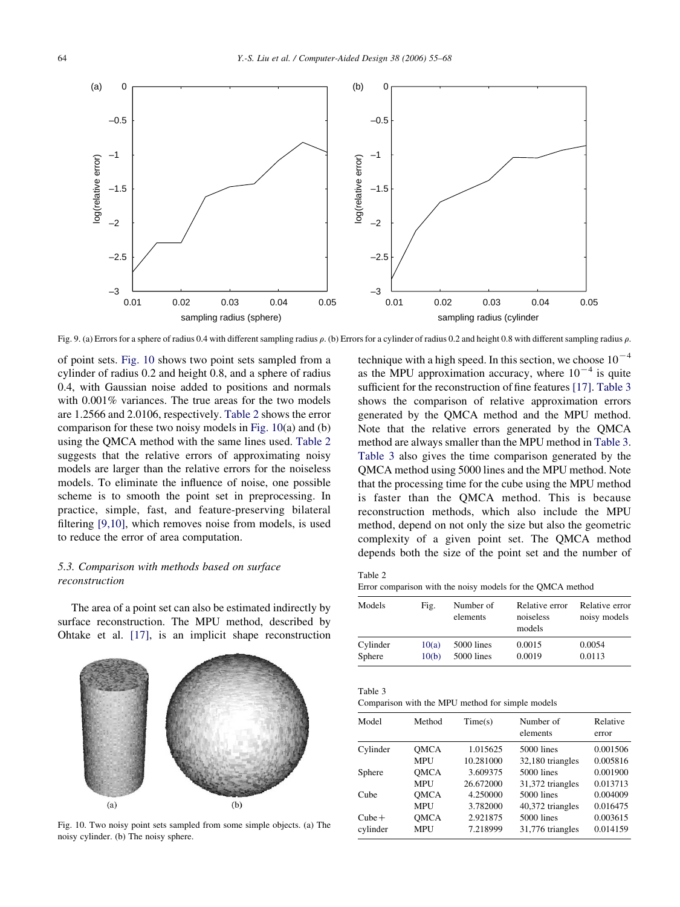

Fig. 9. (a) Errors for a sphere of radius 0.4 with different sampling radius  $\rho$ . (b) Errors for a cylinder of radius 0.2 and height 0.8 with different sampling radius  $\rho$ .

of point sets. Fig. 10 shows two point sets sampled from a cylinder of radius 0.2 and height 0.8, and a sphere of radius 0.4, with Gaussian noise added to positions and normals with 0.001% variances. The true areas for the two models are 1.2566 and 2.0106, respectively. Table 2 shows the error comparison for these two noisy models in Fig. 10(a) and (b) using the QMCA method with the same lines used. Table 2 suggests that the relative errors of approximating noisy models are larger than the relative errors for the noiseless models. To eliminate the influence of noise, one possible scheme is to smooth the point set in preprocessing. In practice, simple, fast, and feature-preserving bilateral filtering [9,10], which removes noise from models, is used to reduce the error of area computation.

# 5.3. Comparison with methods based on surface reconstruction

The area of a point set can also be estimated indirectly by surface reconstruction. The MPU method, described by Ohtake et al. [17], is an implicit shape reconstruction



Fig. 10. Two noisy point sets sampled from some simple objects. (a) The noisy cylinder. (b) The noisy sphere.

technique with a high speed. In this section, we choose  $10^{-4}$ as the MPU approximation accuracy, where  $10^{-4}$  is quite sufficient for the reconstruction of fine features [17]. Table 3 shows the comparison of relative approximation errors generated by the QMCA method and the MPU method. Note that the relative errors generated by the QMCA method are always smaller than the MPU method in Table 3. Table 3 also gives the time comparison generated by the QMCA method using 5000 lines and the MPU method. Note that the processing time for the cube using the MPU method is faster than the QMCA method. This is because reconstruction methods, which also include the MPU method, depend on not only the size but also the geometric complexity of a given point set. The QMCA method depends both the size of the point set and the number of

Table 2

Error comparison with the noisy models for the QMCA method

| Models   | Fig.  | Number of<br>elements | Relative error<br>noiseless<br>models | Relative error<br>noisy models |
|----------|-------|-----------------------|---------------------------------------|--------------------------------|
| Cylinder | 10(a) | 5000 lines            | 0.0015                                | 0.0054                         |
| Sphere   | 10(b) | 5000 lines            | 0.0019                                | 0.0113                         |

Table 3

| Comparison with the MPU method for simple models |  |  |  |  |  |  |  |
|--------------------------------------------------|--|--|--|--|--|--|--|
|--------------------------------------------------|--|--|--|--|--|--|--|

| Model    | Method      | Time(s)   | Number of<br>elements | Relative<br>error |
|----------|-------------|-----------|-----------------------|-------------------|
| Cylinder | <b>OMCA</b> | 1.015625  | 5000 lines            | 0.001506          |
|          | <b>MPU</b>  | 10.281000 | 32,180 triangles      | 0.005816          |
| Sphere   | <b>OMCA</b> | 3.609375  | 5000 lines            | 0.001900          |
|          | <b>MPU</b>  | 26.672000 | 31,372 triangles      | 0.013713          |
| Cube     | <b>OMCA</b> | 4.250000  | 5000 lines            | 0.004009          |
|          | <b>MPU</b>  | 3.782000  | 40,372 triangles      | 0.016475          |
| $Cube+$  | <b>OMCA</b> | 2.921875  | 5000 lines            | 0.003615          |
| cylinder | <b>MPU</b>  | 7.218999  | 31,776 triangles      | 0.014159          |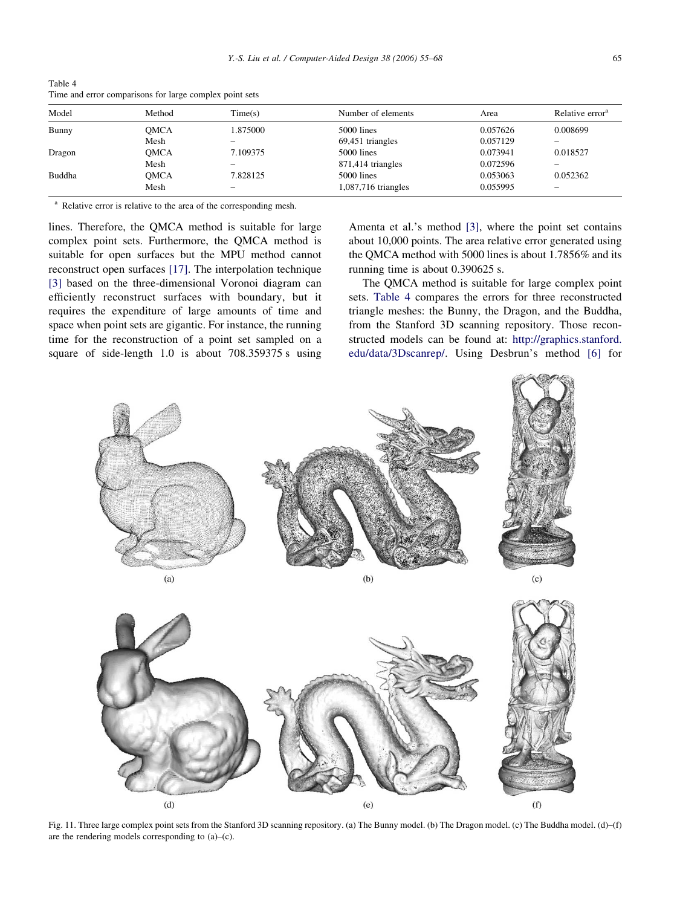| Model  | Method | Time(s)  | Number of elements  | Area     | Relative error <sup>a</sup> |
|--------|--------|----------|---------------------|----------|-----------------------------|
| Bunny  | OMCA   | 1.875000 | 5000 lines          | 0.057626 | 0.008699                    |
|        | Mesh   |          | 69,451 triangles    | 0.057129 | —                           |
| Dragon | OMCA   | 7.109375 | 5000 lines          | 0.073941 | 0.018527                    |
|        | Mesh   |          | 871,414 triangles   | 0.072596 |                             |
| Buddha | OMCA   | 7.828125 | 5000 lines          | 0.053063 | 0.052362                    |
|        | Mesh   | -        | 1,087,716 triangles | 0.055995 | -                           |

Table 4 Time and error comparisons for large complex point sets

Relative error is relative to the area of the corresponding mesh.

lines. Therefore, the QMCA method is suitable for large complex point sets. Furthermore, the QMCA method is suitable for open surfaces but the MPU method cannot reconstruct open surfaces [17]. The interpolation technique [3] based on the three-dimensional Voronoi diagram can efficiently reconstruct surfaces with boundary, but it requires the expenditure of large amounts of time and space when point sets are gigantic. For instance, the running time for the reconstruction of a point set sampled on a square of side-length 1.0 is about 708.359375 s using

Amenta et al.'s method [3], where the point set contains about 10,000 points. The area relative error generated using the QMCA method with 5000 lines is about 1.7856% and its running time is about 0.390625 s.

The QMCA method is suitable for large complex point sets. Table 4 compares the errors for three reconstructed triangle meshes: the Bunny, the Dragon, and the Buddha, from the Stanford 3D scanning repository. Those reconstructed models can be found at: [http://graphics.stanford.](http://graphics.stanford.edu/data/3Dscanrep/) [edu/data/3Dscanrep/.](http://graphics.stanford.edu/data/3Dscanrep/) Using Desbrun's method [6] for



Fig. 11. Three large complex point sets from the Stanford 3D scanning repository. (a) The Bunny model. (b) The Dragon model. (c) The Buddha model. (d)–(f) are the rendering models corresponding to (a)–(c).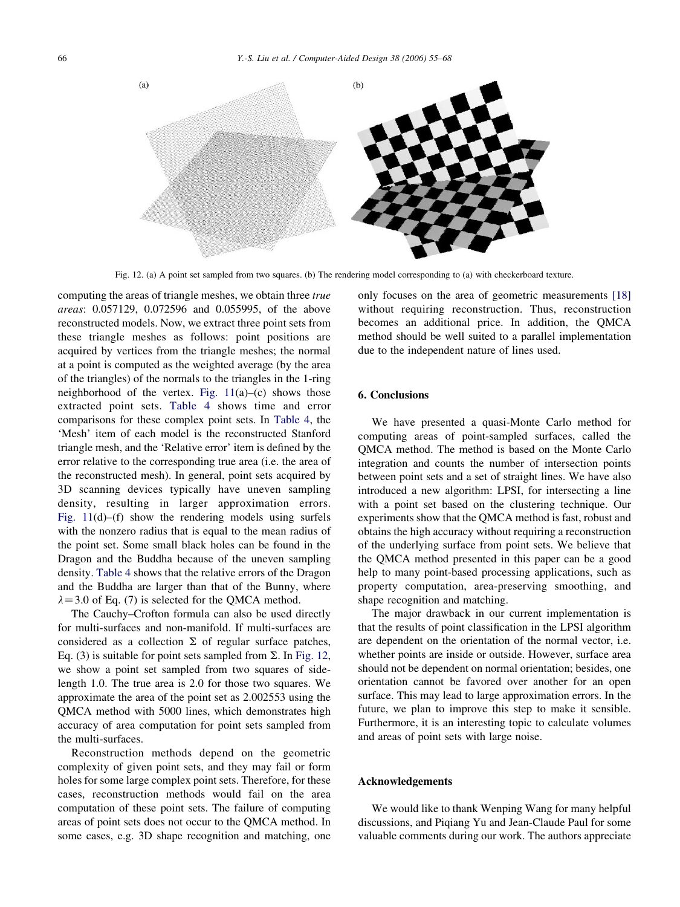

Fig. 12. (a) A point set sampled from two squares. (b) The rendering model corresponding to (a) with checkerboard texture.

computing the areas of triangle meshes, we obtain three true areas: 0.057129, 0.072596 and 0.055995, of the above reconstructed models. Now, we extract three point sets from these triangle meshes as follows: point positions are acquired by vertices from the triangle meshes; the normal at a point is computed as the weighted average (by the area of the triangles) of the normals to the triangles in the 1-ring neighborhood of the vertex. Fig.  $11(a)$ –(c) shows those extracted point sets. Table 4 shows time and error comparisons for these complex point sets. In Table 4, the 'Mesh' item of each model is the reconstructed Stanford triangle mesh, and the 'Relative error' item is defined by the error relative to the corresponding true area (i.e. the area of the reconstructed mesh). In general, point sets acquired by 3D scanning devices typically have uneven sampling density, resulting in larger approximation errors. Fig. 11(d)–(f) show the rendering models using surfels with the nonzero radius that is equal to the mean radius of the point set. Some small black holes can be found in the Dragon and the Buddha because of the uneven sampling density. Table 4 shows that the relative errors of the Dragon and the Buddha are larger than that of the Bunny, where  $\lambda$ =3.0 of Eq. (7) is selected for the QMCA method.

The Cauchy–Crofton formula can also be used directly for multi-surfaces and non-manifold. If multi-surfaces are considered as a collection  $\Sigma$  of regular surface patches, Eq. (3) is suitable for point sets sampled from  $\Sigma$ . In Fig. 12, we show a point set sampled from two squares of sidelength 1.0. The true area is 2.0 for those two squares. We approximate the area of the point set as 2.002553 using the QMCA method with 5000 lines, which demonstrates high accuracy of area computation for point sets sampled from the multi-surfaces.

Reconstruction methods depend on the geometric complexity of given point sets, and they may fail or form holes for some large complex point sets. Therefore, for these cases, reconstruction methods would fail on the area computation of these point sets. The failure of computing areas of point sets does not occur to the QMCA method. In some cases, e.g. 3D shape recognition and matching, one

only focuses on the area of geometric measurements [18] without requiring reconstruction. Thus, reconstruction becomes an additional price. In addition, the QMCA method should be well suited to a parallel implementation due to the independent nature of lines used.

### 6. Conclusions

We have presented a quasi-Monte Carlo method for computing areas of point-sampled surfaces, called the QMCA method. The method is based on the Monte Carlo integration and counts the number of intersection points between point sets and a set of straight lines. We have also introduced a new algorithm: LPSI, for intersecting a line with a point set based on the clustering technique. Our experiments show that the QMCA method is fast, robust and obtains the high accuracy without requiring a reconstruction of the underlying surface from point sets. We believe that the QMCA method presented in this paper can be a good help to many point-based processing applications, such as property computation, area-preserving smoothing, and shape recognition and matching.

The major drawback in our current implementation is that the results of point classification in the LPSI algorithm are dependent on the orientation of the normal vector, i.e. whether points are inside or outside. However, surface area should not be dependent on normal orientation; besides, one orientation cannot be favored over another for an open surface. This may lead to large approximation errors. In the future, we plan to improve this step to make it sensible. Furthermore, it is an interesting topic to calculate volumes and areas of point sets with large noise.

# Acknowledgements

We would like to thank Wenping Wang for many helpful discussions, and Piqiang Yu and Jean-Claude Paul for some valuable comments during our work. The authors appreciate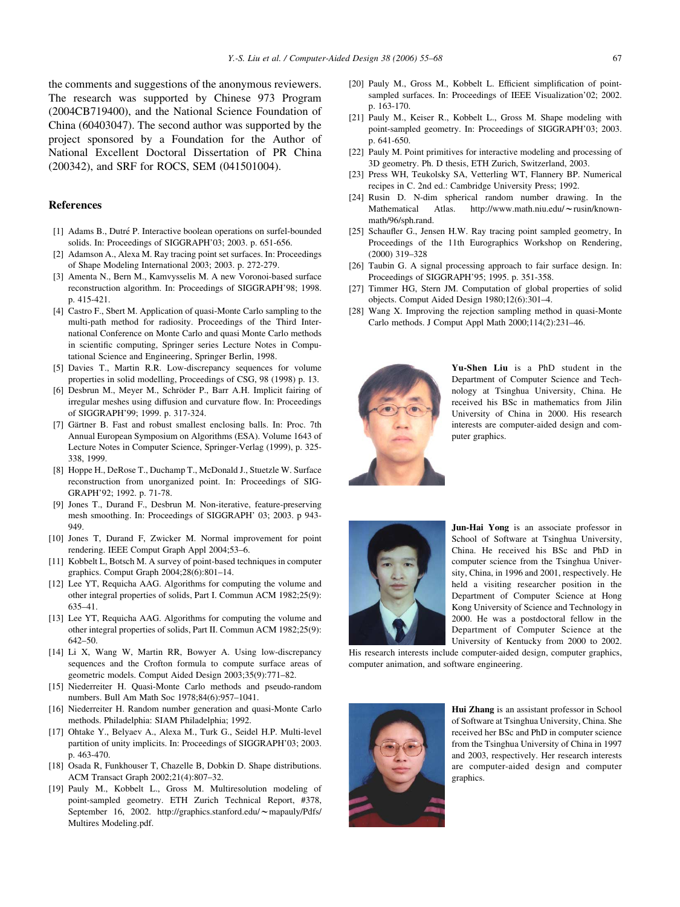the comments and suggestions of the anonymous reviewers. The research was supported by Chinese 973 Program (2004CB719400), and the National Science Foundation of China (60403047). The second author was supported by the project sponsored by a Foundation for the Author of National Excellent Doctoral Dissertation of PR China (200342), and SRF for ROCS, SEM (041501004).

#### References

- [1] Adams B., Dutré P. Interactive boolean operations on surfel-bounded solids. In: Proceedings of SIGGRAPH'03; 2003. p. 651-656.
- [2] Adamson A., Alexa M. Ray tracing point set surfaces. In: Proceedings of Shape Modeling International 2003; 2003. p. 272-279.
- [3] Amenta N., Bern M., Kamvysselis M. A new Voronoi-based surface reconstruction algorithm. In: Proceedings of SIGGRAPH'98; 1998. p. 415-421.
- [4] Castro F., Sbert M. Application of quasi-Monte Carlo sampling to the multi-path method for radiosity. Proceedings of the Third International Conference on Monte Carlo and quasi Monte Carlo methods in scientific computing, Springer series Lecture Notes in Computational Science and Engineering, Springer Berlin, 1998.
- [5] Davies T., Martin R.R. Low-discrepancy sequences for volume properties in solid modelling, Proceedings of CSG, 98 (1998) p. 13.
- [6] Desbrun M., Meyer M., Schröder P., Barr A.H. Implicit fairing of irregular meshes using diffusion and curvature flow. In: Proceedings of SIGGRAPH'99; 1999. p. 317-324.
- [7] Gärtner B. Fast and robust smallest enclosing balls. In: Proc. 7th Annual European Symposium on Algorithms (ESA). Volume 1643 of Lecture Notes in Computer Science, Springer-Verlag (1999), p. 325- 338, 1999.
- [8] Hoppe H., DeRose T., Duchamp T., McDonald J., Stuetzle W. Surface reconstruction from unorganized point. In: Proceedings of SIG-GRAPH'92; 1992. p. 71-78.
- [9] Jones T., Durand F., Desbrun M. Non-iterative, feature-preserving mesh smoothing. In: Proceedings of SIGGRAPH' 03; 2003. p 943- 949.
- [10] Jones T, Durand F, Zwicker M. Normal improvement for point rendering. IEEE Comput Graph Appl 2004;53–6.
- [11] Kobbelt L, Botsch M. A survey of point-based techniques in computer graphics. Comput Graph 2004;28(6):801–14.
- [12] Lee YT, Requicha AAG. Algorithms for computing the volume and other integral properties of solids, Part I. Commun ACM 1982;25(9): 635–41.
- [13] Lee YT, Requicha AAG. Algorithms for computing the volume and other integral properties of solids, Part II. Commun ACM 1982;25(9): 642–50.
- [14] Li X, Wang W, Martin RR, Bowyer A. Using low-discrepancy sequences and the Crofton formula to compute surface areas of geometric models. Comput Aided Design 2003;35(9):771–82.
- [15] Niederreiter H. Quasi-Monte Carlo methods and pseudo-random numbers. Bull Am Math Soc 1978;84(6):957–1041.
- [16] Niederreiter H. Random number generation and quasi-Monte Carlo methods. Philadelphia: SIAM Philadelphia; 1992.
- [17] Ohtake Y., Belyaev A., Alexa M., Turk G., Seidel H.P. Multi-level partition of unity implicits. In: Proceedings of SIGGRAPH'03; 2003. p. 463-470.
- [18] Osada R, Funkhouser T, Chazelle B, Dobkin D. Shape distributions. ACM Transact Graph 2002;21(4):807–32.
- [19] Pauly M., Kobbelt L., Gross M. Multiresolution modeling of point-sampled geometry. ETH Zurich Technical Report, #378, September 16, 2002. http://graphics.stanford.edu/ $\sim$ mapauly/Pdfs/ Multires Modeling.pdf.
- [20] Pauly M., Gross M., Kobbelt L. Efficient simplification of pointsampled surfaces. In: Proceedings of IEEE Visualization'02; 2002. p. 163-170.
- [21] Pauly M., Keiser R., Kobbelt L., Gross M. Shape modeling with point-sampled geometry. In: Proceedings of SIGGRAPH'03; 2003. p. 641-650.
- [22] Pauly M. Point primitives for interactive modeling and processing of 3D geometry. Ph. D thesis, ETH Zurich, Switzerland, 2003.
- [23] Press WH, Teukolsky SA, Vetterling WT, Flannery BP. Numerical recipes in C. 2nd ed.: Cambridge University Press; 1992.
- [24] Rusin D. N-dim spherical random number drawing. In the Mathematical Atlas. http://www.math.niu.edu/ $\sim$ rusin/knownmath/96/sph.rand.
- [25] Schaufler G., Jensen H.W. Ray tracing point sampled geometry, In Proceedings of the 11th Eurographics Workshop on Rendering, (2000) 319–328
- [26] Taubin G. A signal processing approach to fair surface design. In: Proceedings of SIGGRAPH'95; 1995. p. 351-358.
- [27] Timmer HG, Stern JM. Computation of global properties of solid objects. Comput Aided Design 1980;12(6):301–4.
- [28] Wang X. Improving the rejection sampling method in quasi-Monte Carlo methods. J Comput Appl Math 2000;114(2):231–46.



Yu-Shen Liu is a PhD student in the Department of Computer Science and Technology at Tsinghua University, China. He received his BSc in mathematics from Jilin University of China in 2000. His research interests are computer-aided design and computer graphics.



Jun-Hai Yong is an associate professor in School of Software at Tsinghua University, China. He received his BSc and PhD in computer science from the Tsinghua University, China, in 1996 and 2001, respectively. He held a visiting researcher position in the Department of Computer Science at Hong Kong University of Science and Technology in 2000. He was a postdoctoral fellow in the Department of Computer Science at the University of Kentucky from 2000 to 2002.

His research interests include computer-aided design, computer graphics, computer animation, and software engineering.



Hui Zhang is an assistant professor in School of Software at Tsinghua University, China. She received her BSc and PhD in computer science from the Tsinghua University of China in 1997 and 2003, respectively. Her research interests are computer-aided design and computer graphics.